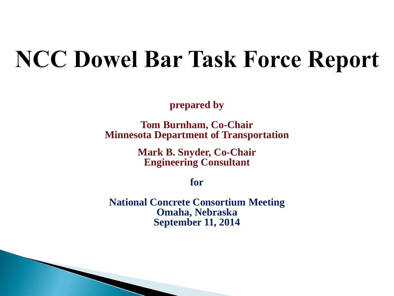### **NCC Dowel Bar Task Force Report**

**prepared by**

**Tom Burnham, Co-Chair Minnesota Department of Transportation**

> **Mark B. Snyder, Co-Chair Engineering Consultant**

> > **for**

**National Concrete Consortium Meeting Omaha, Nebraska September 11, 2014**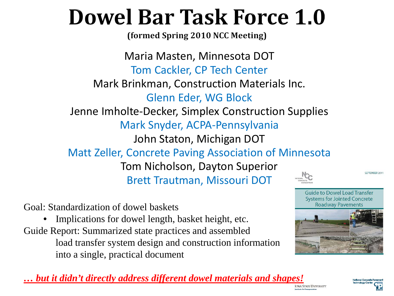### **Dowel Bar Task Force 1.0**

(formed Spring 2010 NCC Meeting)

Maria Masten, Minnesota DOT Tom Cackler, CP Tech Center Mark Brinkman, Construction Materials Inc. Glenn Eder, WG Block Jenne Imholte-Decker, Simplex Construction Supplies Mark Snyder, ACPA-Pennsylvania John Staton, Michigan DOT Matt Zeller, Concrete Paving Association of Minnesota Tom Nicholson, Dayton Superior Brett Trautman, Missouri DOT

Goal: Standardization of dowel baskets

Implications for dowel length, basket height, etc. Guide Report: Summarized state practices and assembled load transfer system design and construction information into a single, practical document

but it didn't directly address different dowel materials and shapes!









SEPTEMBER 201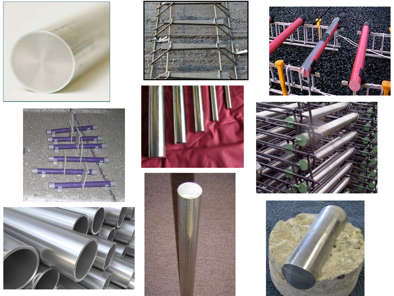















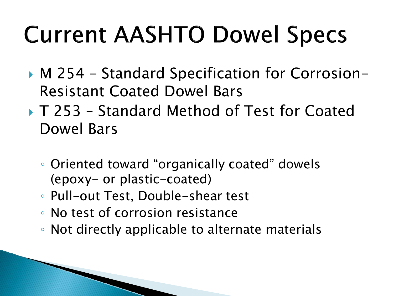## **Current AASHTO Dowel Specs**

- ▶ M 254 Standard Specification for Corrosion-Resistant Coated Dowel Bars
- ▶ T 253 Standard Method of Test for Coated Dowel Bars
	- Oriented toward "organically coated" dowels (epoxy- or plastic-coated)
	- Pull-out Test, Double-shear test
	- No test of corrosion resistance
	- Not directly applicable to alternate materials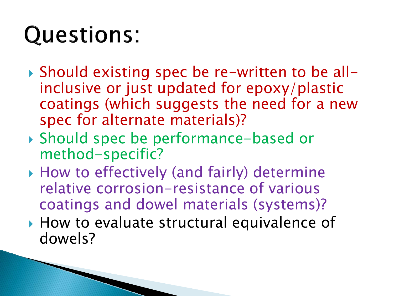## Questions:

- ▶ Should existing spec be re-written to be allinclusive or just updated for epoxy/plastic coatings (which suggests the need for a new spec for alternate materials)?
- Should spec be performance-based or method-specific?
- How to effectively (and fairly) determine relative corrosion-resistance of various coatings and dowel materials (systems)?
- ▶ How to evaluate structural equivalence of dowels?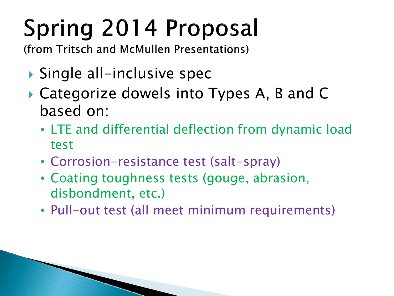# Spring 2014 Proposal

(from Tritsch and McMullen Presentations)

- ▶ Single all-inclusive spec
- Categorize dowels into Types A, B and C based on:
	- LTE and differential deflection from dynamic load test
	- Corrosion-resistance test (salt-spray)
	- Coating toughness tests (gouge, abrasion, disbondment, etc.)
	- Pull-out test (all meet minimum requirements)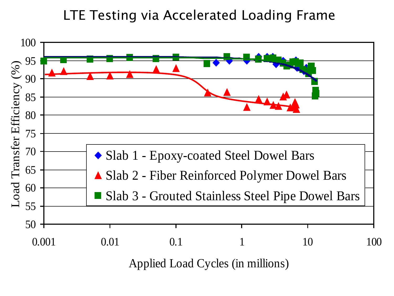#### LTE Testing via Accelerated Loading Frame

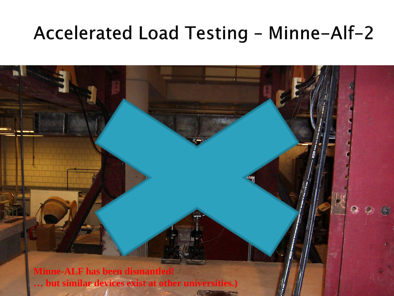### Accelerated Load Testing - Minne-Alf-2

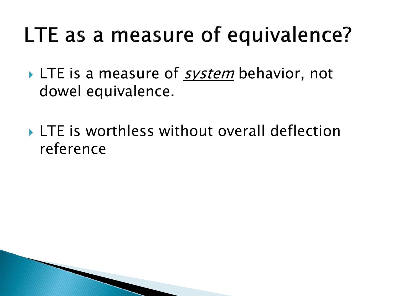### LTE as a measure of equivalence?

- ▸ LTE is a measure of *system* behavior, not dowel equivalence.
- **LTE** is worthless without overall deflection reference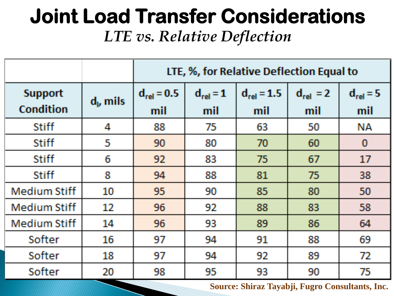#### **Joint Load Transfer Considerations** *LTE vs. Relative Deflection*

|                             |                  | LTE, %, for Relative Deflection Equal to |                      |                        |                      |                      |  |
|-----------------------------|------------------|------------------------------------------|----------------------|------------------------|----------------------|----------------------|--|
| <b>Support</b><br>Condition | $d_{\rm b}$ mils | $d_{rel} = 0.5$<br>mil                   | $d_{rel} = 1$<br>mil | $d_{rel} = 1.5$<br>mil | $d_{rel} = 2$<br>mil | $d_{rel} = 5$<br>mil |  |
| <b>Stiff</b>                | 4                | 88                                       | 75                   | 63                     | 50                   | ΝA                   |  |
| <b>Stiff</b>                | 5                | 90                                       | 80                   | 70                     | 60                   | 0                    |  |
| <b>Stiff</b>                | 6                | 92                                       | 83                   | 75                     | 67                   | 17                   |  |
| <b>Stiff</b>                | 8                | 94                                       | 88                   | 81                     | 75                   | 38                   |  |
| <b>Medium Stiff</b>         | 10               | 95                                       | 90                   | 85                     | 80                   | 50                   |  |
| <b>Medium Stiff</b>         | 12               | 96                                       | 92                   | 88                     | 83                   | 58                   |  |
| <b>Medium Stiff</b>         | 14               | 96                                       | 93                   | 89                     | 86                   | 64                   |  |
| Softer                      | 16               | 97                                       | 94                   | 91                     | 88                   | 69                   |  |
| Softer                      | 18               | 97                                       | 94                   | 92                     | -89                  | 72                   |  |
| Softer                      | 20               | 98                                       | 95                   | 93                     | 90                   | 75                   |  |

**Source: Shiraz Tayabji, Fugro Consultants, Inc.**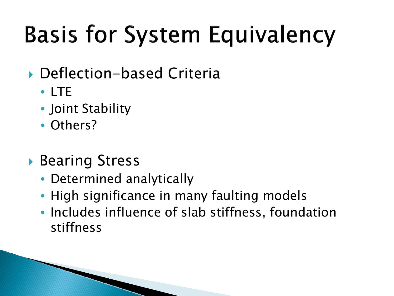## **Basis for System Equivalency**

- ▶ Deflection-based Criteria
	- LTE
	- Joint Stability
	- Others?
- ▶ Bearing Stress
	- Determined analytically
	- High significance in many faulting models
	- Includes influence of slab stiffness, foundation stiffness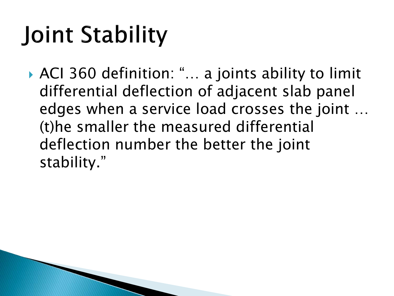## **Joint Stability**

▶ ACI 360 definition: "... a joints ability to limit differential deflection of adjacent slab panel edges when a service load crosses the joint … (t)he smaller the measured differential deflection number the better the joint stability."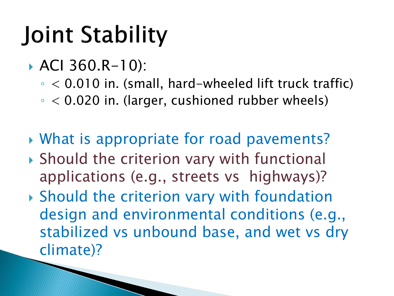## **Joint Stability**

- ACI 360.R-10):
	- < 0.010 in. (small, hard-wheeled lift truck traffic)
	- < 0.020 in. (larger, cushioned rubber wheels)
- What is appropriate for road pavements?
- ▶ Should the criterion vary with functional applications (e.g., streets vs highways)?
- Should the criterion vary with foundation design and environmental conditions (e.g., stabilized vs unbound base, and wet vs dry climate)?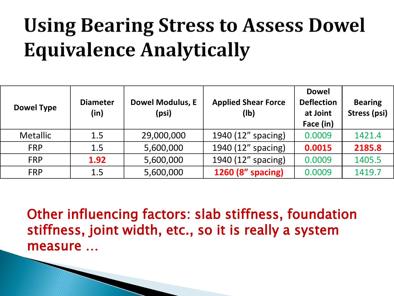### **Using Bearing Stress to Assess Dowel Equivalence Analytically**

| <b>Dowel Type</b> | <b>Diameter</b><br>(in) | <b>Dowel Modulus, E</b><br>(psi) | <b>Applied Shear Force</b><br>(lb) | <b>Dowel</b><br><b>Deflection</b><br>at Joint<br>Face (in) | <b>Bearing</b><br>Stress (psi) |
|-------------------|-------------------------|----------------------------------|------------------------------------|------------------------------------------------------------|--------------------------------|
| <b>Metallic</b>   | 1.5                     | 29,000,000                       | 1940 (12" spacing)                 | 0.0009                                                     | 1421.4                         |
| <b>FRP</b>        | 1.5                     | 5,600,000                        | 1940 (12" spacing)                 | 0.0015                                                     | 2185.8                         |
| <b>FRP</b>        | 1.92                    | 5,600,000                        | 1940 (12" spacing)                 | 0.0009                                                     | 1405.5                         |
| <b>FRP</b>        | 1.5                     | 5,600,000                        | 1260 (8" spacing)                  | 0.0009                                                     | 1419.7                         |

Other influencing factors: slab stiffness, foundation stiffness, joint width, etc., so it is really a system measure …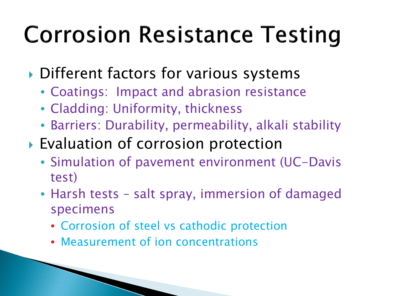## **Corrosion Resistance Testing**

- Different factors for various systems
	- Coatings: Impact and abrasion resistance
	- Cladding: Uniformity, thickness
	- Barriers: Durability, permeability, alkali stability
- ▶ Evaluation of corrosion protection
	- Simulation of pavement environment (UC-Davis test)
	- Harsh tests salt spray, immersion of damaged specimens
		- Corrosion of steel vs cathodic protection
		- Measurement of ion concentrations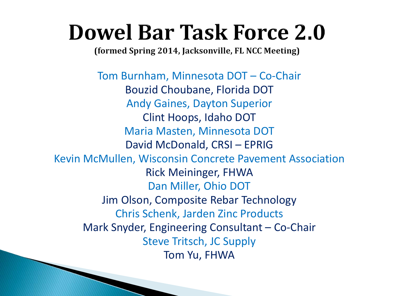### **Dowel Bar Task Force 2.0**

(formed Spring 2014, Jacksonville, FL NCC Meeting)

Tom Burnham, Minnesota DOT – Co-Chair Bouzid Choubane, Florida DOT Andy Gaines, Dayton Superior Clint Hoops, Idaho DOT Maria Masten, Minnesota DOT David McDonald, CRSI – EPRIG Kevin McMullen, Wisconsin Concrete Pavement Association Rick Meininger, FHWA Dan Miller, Ohio DOT Jim Olson, Composite Rebar Technology Chris Schenk, Jarden Zinc Products Mark Snyder, Engineering Consultant – Co-Chair Steve Tritsch, JC Supply Tom Yu, FHWA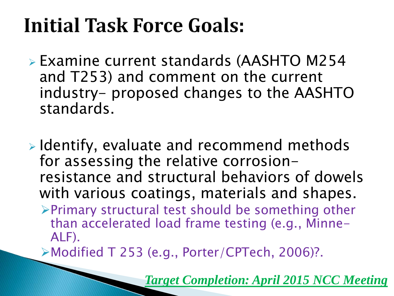### **Initial Task Force Goals:**

- Examine current standards (AASHTO M254 and T253) and comment on the current industry- proposed changes to the AASHTO standards.
- $\triangleright$  Identify, evaluate and recommend methods for assessing the relative corrosionresistance and structural behaviors of dowels with various coatings, materials and shapes.
	- Primary structural test should be something other than accelerated load frame testing (e.g., Minne-ALF).
	- Modified T 253 (e.g., Porter/CPTech, 2006)?.

*Target Completion: April 2015 NCC Meeting*